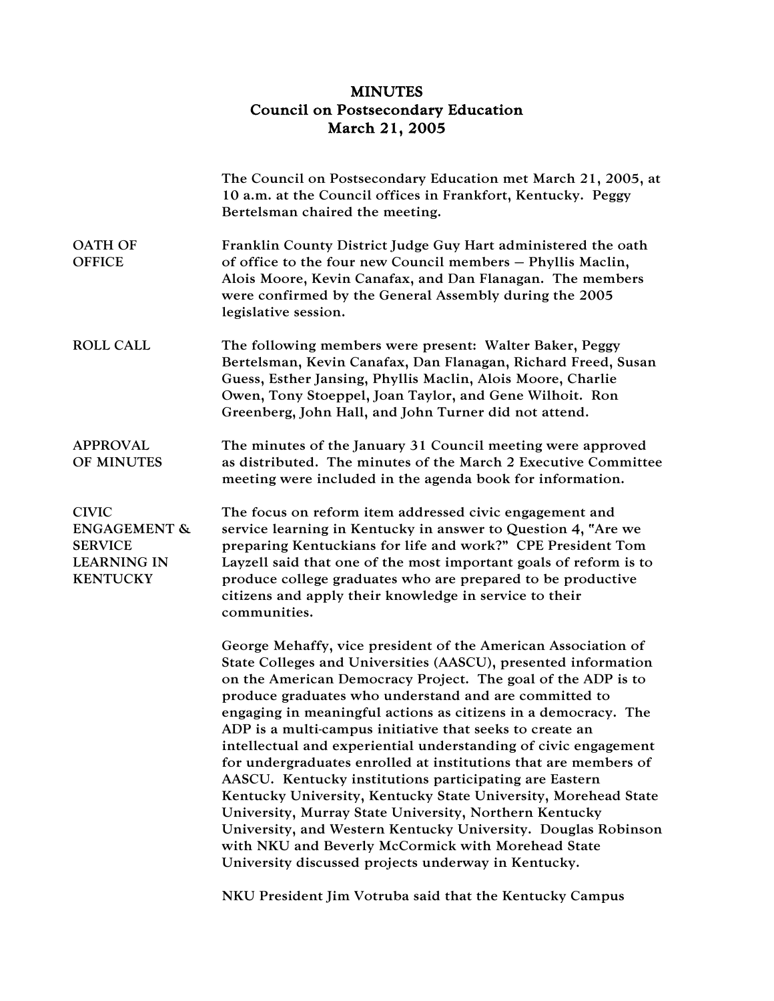## MINUTES Council on Postsecondary Education March 21, 2005

|                                                                                                    | The Council on Postsecondary Education met March 21, 2005, at<br>10 a.m. at the Council offices in Frankfort, Kentucky. Peggy<br>Bertelsman chaired the meeting.                                                                                                                                                                                                                                                                                                                                                                                                                                                                                                                                                                                                                                                                                                                                 |
|----------------------------------------------------------------------------------------------------|--------------------------------------------------------------------------------------------------------------------------------------------------------------------------------------------------------------------------------------------------------------------------------------------------------------------------------------------------------------------------------------------------------------------------------------------------------------------------------------------------------------------------------------------------------------------------------------------------------------------------------------------------------------------------------------------------------------------------------------------------------------------------------------------------------------------------------------------------------------------------------------------------|
| <b>OATH OF</b><br><b>OFFICE</b>                                                                    | Franklin County District Judge Guy Hart administered the oath<br>of office to the four new Council members - Phyllis Maclin,<br>Alois Moore, Kevin Canafax, and Dan Flanagan. The members<br>were confirmed by the General Assembly during the 2005<br>legislative session.                                                                                                                                                                                                                                                                                                                                                                                                                                                                                                                                                                                                                      |
| <b>ROLL CALL</b>                                                                                   | The following members were present: Walter Baker, Peggy<br>Bertelsman, Kevin Canafax, Dan Flanagan, Richard Freed, Susan<br>Guess, Esther Jansing, Phyllis Maclin, Alois Moore, Charlie<br>Owen, Tony Stoeppel, Joan Taylor, and Gene Wilhoit. Ron<br>Greenberg, John Hall, and John Turner did not attend.                                                                                                                                                                                                                                                                                                                                                                                                                                                                                                                                                                                      |
| <b>APPROVAL</b><br>OF MINUTES                                                                      | The minutes of the January 31 Council meeting were approved<br>as distributed. The minutes of the March 2 Executive Committee<br>meeting were included in the agenda book for information.                                                                                                                                                                                                                                                                                                                                                                                                                                                                                                                                                                                                                                                                                                       |
| <b>CIVIC</b><br><b>ENGAGEMENT &amp;</b><br><b>SERVICE</b><br><b>LEARNING IN</b><br><b>KENTUCKY</b> | The focus on reform item addressed civic engagement and<br>service learning in Kentucky in answer to Question 4, "Are we<br>preparing Kentuckians for life and work?" CPE President Tom<br>Layzell said that one of the most important goals of reform is to<br>produce college graduates who are prepared to be productive<br>citizens and apply their knowledge in service to their<br>communities.                                                                                                                                                                                                                                                                                                                                                                                                                                                                                            |
|                                                                                                    | George Mehaffy, vice president of the American Association of<br>State Colleges and Universities (AASCU), presented information<br>on the American Democracy Project. The goal of the ADP is to<br>produce graduates who understand and are committed to<br>engaging in meaningful actions as citizens in a democracy. The<br>ADP is a multi-campus initiative that seeks to create an<br>intellectual and experiential understanding of civic engagement<br>for undergraduates enrolled at institutions that are members of<br>AASCU. Kentucky institutions participating are Eastern<br>Kentucky University, Kentucky State University, Morehead State<br>University, Murray State University, Northern Kentucky<br>University, and Western Kentucky University. Douglas Robinson<br>with NKU and Beverly McCormick with Morehead State<br>University discussed projects underway in Kentucky. |

NKU President Jim Votruba said that the Kentucky Campus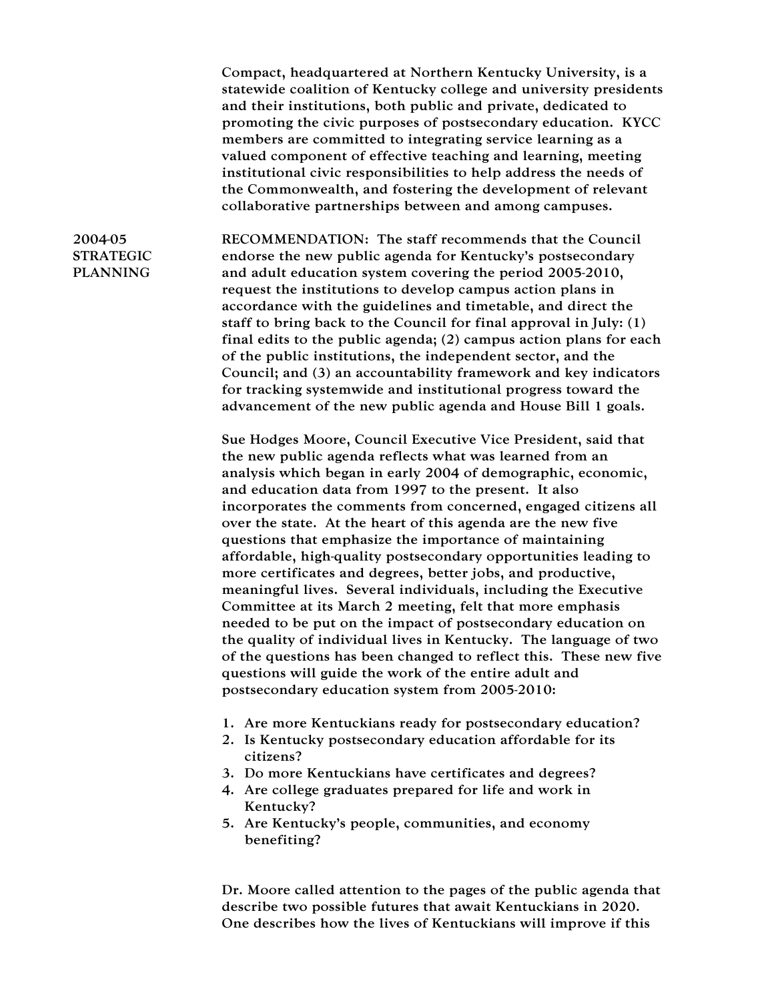Compact, headquartered at Northern Kentucky University, is a statewide coalition of Kentucky college and university presidents and their institutions, both public and private, dedicated to promoting the civic purposes of postsecondary education. KYCC members are committed to integrating service learning as a valued component of effective teaching and learning, meeting institutional civic responsibilities to help address the needs of the Commonwealth, and fostering the development of relevant collaborative partnerships between and among campuses.

## 2004-05 STRATEGIC PLANNING

RECOMMENDATION: The staff recommends that the Council endorse the new public agenda for Kentucky's postsecondary and adult education system covering the period 2005-2010, request the institutions to develop campus action plans in accordance with the guidelines and timetable, and direct the staff to bring back to the Council for final approval in July: (1) final edits to the public agenda; (2) campus action plans for each of the public institutions, the independent sector, and the Council; and (3) an accountability framework and key indicators for tracking systemwide and institutional progress toward the advancement of the new public agenda and House Bill 1 goals.

Sue Hodges Moore, Council Executive Vice President, said that the new public agenda reflects what was learned from an analysis which began in early 2004 of demographic, economic, and education data from 1997 to the present. It also incorporates the comments from concerned, engaged citizens all over the state. At the heart of this agenda are the new five questions that emphasize the importance of maintaining affordable, high-quality postsecondary opportunities leading to more certificates and degrees, better jobs, and productive, meaningful lives. Several individuals, including the Executive Committee at its March 2 meeting, felt that more emphasis needed to be put on the impact of postsecondary education on the quality of individual lives in Kentucky. The language of two of the questions has been changed to reflect this. These new five questions will guide the work of the entire adult and postsecondary education system from 2005-2010:

- 1. Are more Kentuckians ready for postsecondary education?
- 2. Is Kentucky postsecondary education affordable for its citizens?
- 3. Do more Kentuckians have certificates and degrees?
- 4. Are college graduates prepared for life and work in Kentucky?
- 5. Are Kentucky's people, communities, and economy benefiting?

Dr. Moore called attention to the pages of the public agenda that describe two possible futures that await Kentuckians in 2020. One describes how the lives of Kentuckians will improve if this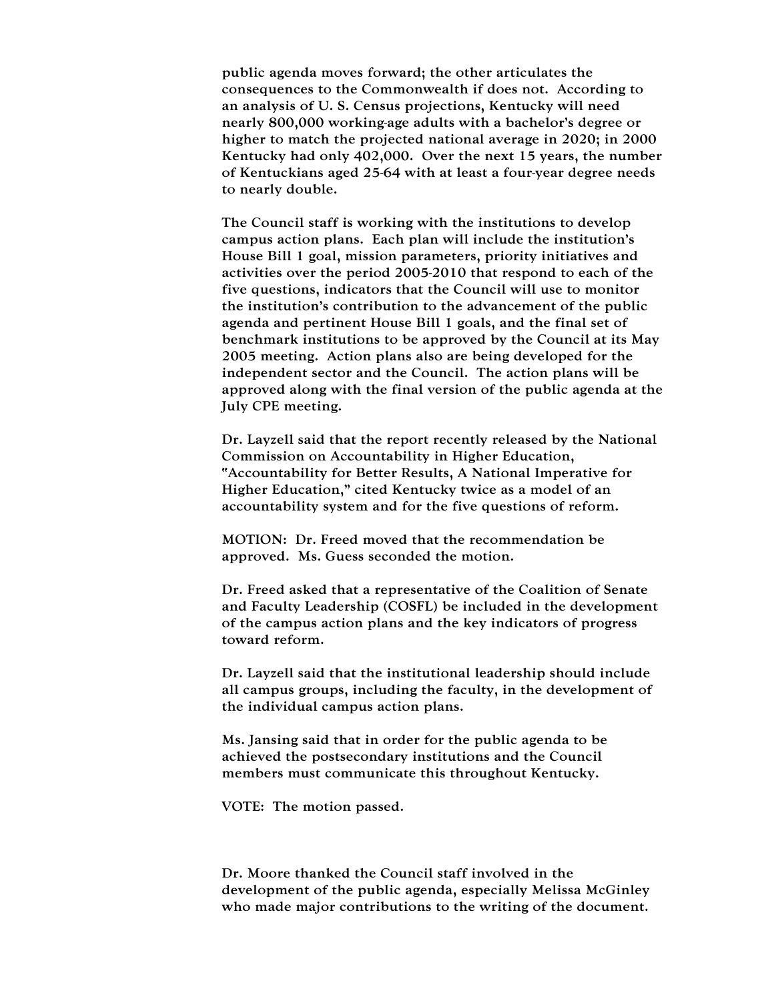public agenda moves forward; the other articulates the consequences to the Commonwealth if does not. According to an analysis of U. S. Census projections, Kentucky will need nearly 800,000 working-age adults with a bachelor's degree or higher to match the projected national average in 2020; in 2000 Kentucky had only 402,000. Over the next 15 years, the number of Kentuckians aged 25-64 with at least a four-year degree needs to nearly double.

The Council staff is working with the institutions to develop campus action plans. Each plan will include the institution's House Bill 1 goal, mission parameters, priority initiatives and activities over the period 2005-2010 that respond to each of the five questions, indicators that the Council will use to monitor the institution's contribution to the advancement of the public agenda and pertinent House Bill 1 goals, and the final set of benchmark institutions to be approved by the Council at its May 2005 meeting. Action plans also are being developed for the independent sector and the Council. The action plans will be approved along with the final version of the public agenda at the July CPE meeting.

Dr. Layzell said that the report recently released by the National Commission on Accountability in Higher Education, "Accountability for Better Results, A National Imperative for Higher Education," cited Kentucky twice as a model of an accountability system and for the five questions of reform.

MOTION: Dr. Freed moved that the recommendation be approved. Ms. Guess seconded the motion.

Dr. Freed asked that a representative of the Coalition of Senate and Faculty Leadership (COSFL) be included in the development of the campus action plans and the key indicators of progress toward reform.

Dr. Layzell said that the institutional leadership should include all campus groups, including the faculty, in the development of the individual campus action plans.

Ms. Jansing said that in order for the public agenda to be achieved the postsecondary institutions and the Council members must communicate this throughout Kentucky.

VOTE: The motion passed.

Dr. Moore thanked the Council staff involved in the development of the public agenda, especially Melissa McGinley who made major contributions to the writing of the document.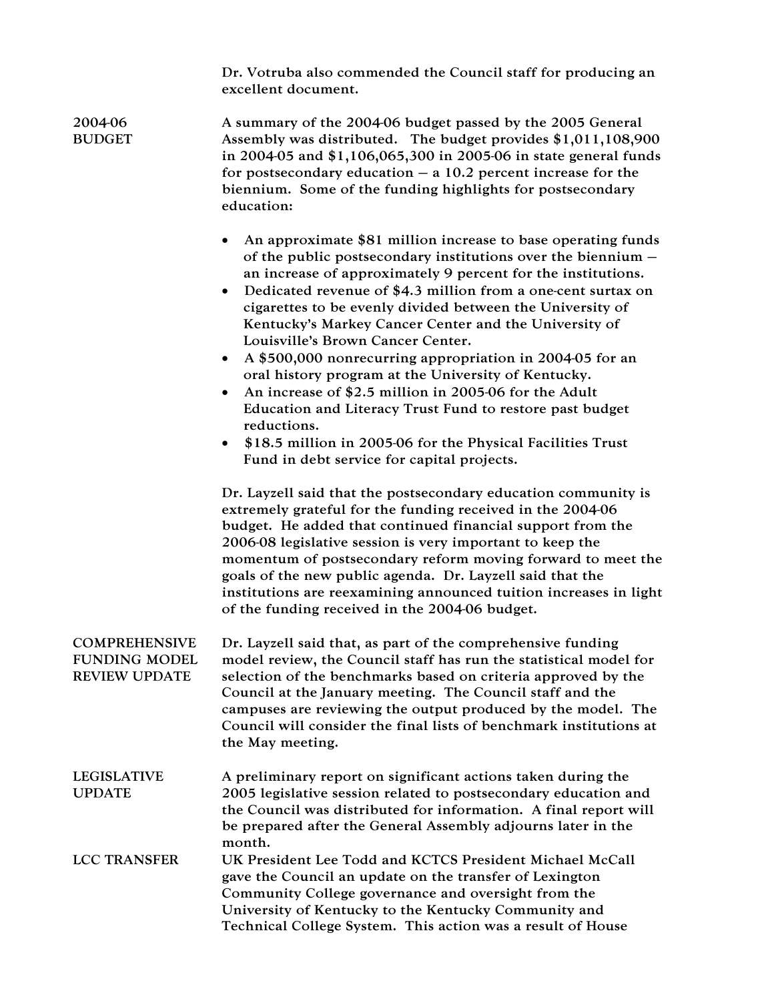Dr. Votruba also commended the Council staff for producing an excellent document.

| 2004-06<br><b>BUDGET</b>                                             | A summary of the 2004-06 budget passed by the 2005 General<br>Assembly was distributed. The budget provides \$1,011,108,900<br>in 2004-05 and \$1,106,065,300 in 2005-06 in state general funds<br>for postsecondary education $-$ a 10.2 percent increase for the<br>biennium. Some of the funding highlights for postsecondary<br>education:                                                                                                                                                                                                                                                                                                                                                                                                                                                                          |
|----------------------------------------------------------------------|-------------------------------------------------------------------------------------------------------------------------------------------------------------------------------------------------------------------------------------------------------------------------------------------------------------------------------------------------------------------------------------------------------------------------------------------------------------------------------------------------------------------------------------------------------------------------------------------------------------------------------------------------------------------------------------------------------------------------------------------------------------------------------------------------------------------------|
|                                                                      | An approximate \$81 million increase to base operating funds<br>of the public postsecondary institutions over the biennium $-$<br>an increase of approximately 9 percent for the institutions.<br>Dedicated revenue of \$4.3 million from a one-cent surtax on<br>$\bullet$<br>cigarettes to be evenly divided between the University of<br>Kentucky's Markey Cancer Center and the University of<br>Louisville's Brown Cancer Center.<br>A \$500,000 nonrecurring appropriation in 2004-05 for an<br>$\bullet$<br>oral history program at the University of Kentucky.<br>An increase of \$2.5 million in 2005-06 for the Adult<br>Education and Literacy Trust Fund to restore past budget<br>reductions.<br>\$18.5 million in 2005-06 for the Physical Facilities Trust<br>Fund in debt service for capital projects. |
|                                                                      | Dr. Layzell said that the postsecondary education community is<br>extremely grateful for the funding received in the 2004-06<br>budget. He added that continued financial support from the<br>2006-08 legislative session is very important to keep the<br>momentum of postsecondary reform moving forward to meet the<br>goals of the new public agenda. Dr. Layzell said that the<br>institutions are reexamining announced tuition increases in light<br>of the funding received in the 2004-06 budget.                                                                                                                                                                                                                                                                                                              |
| <b>COMPREHENSIVE</b><br><b>FUNDING MODEL</b><br><b>REVIEW UPDATE</b> | Dr. Layzell said that, as part of the comprehensive funding<br>model review, the Council staff has run the statistical model for<br>selection of the benchmarks based on criteria approved by the<br>Council at the January meeting. The Council staff and the<br>campuses are reviewing the output produced by the model. The<br>Council will consider the final lists of benchmark institutions at<br>the May meeting.                                                                                                                                                                                                                                                                                                                                                                                                |
| <b>LEGISLATIVE</b><br><b>UPDATE</b>                                  | A preliminary report on significant actions taken during the<br>2005 legislative session related to postsecondary education and<br>the Council was distributed for information. A final report will<br>be prepared after the General Assembly adjourns later in the<br>month.                                                                                                                                                                                                                                                                                                                                                                                                                                                                                                                                           |
| <b>LCC TRANSFER</b>                                                  | UK President Lee Todd and KCTCS President Michael McCall<br>gave the Council an update on the transfer of Lexington<br>Community College governance and oversight from the<br>University of Kentucky to the Kentucky Community and<br>Technical College System. This action was a result of House                                                                                                                                                                                                                                                                                                                                                                                                                                                                                                                       |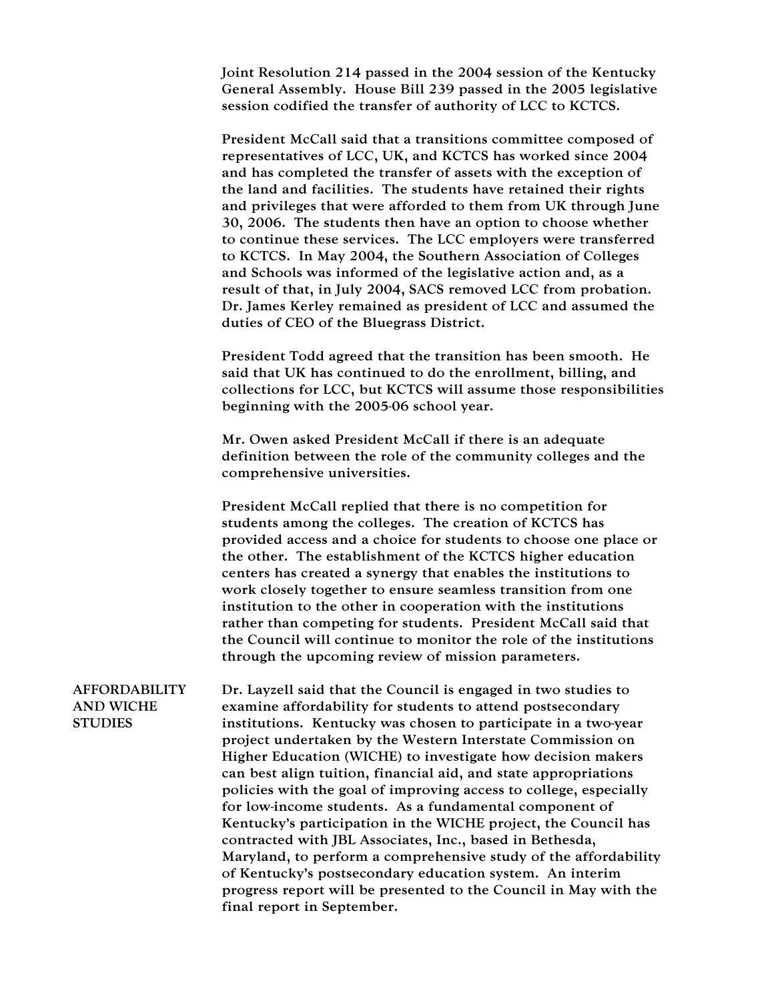Joint Resolution 214 passed in the 2004 session of the Kentucky General Assembly. House Bill 239 passed in the 2005 legislative session codified the transfer of authority of LCC to KCTCS.

President McCall said that a transitions committee composed of representatives of LCC, UK, and KCTCS has worked since 2004 and has completed the transfer of assets with the exception of the land and facilities. The students have retained their rights and privileges that were afforded to them from UK through June 30, 2006. The students then have an option to choose whether to continue these services. The LCC employers were transferred to KCTCS. In May 2004, the Southern Association of Colleges and Schools was informed of the legislative action and, as a result of that, in July 2004, SACS removed LCC from probation. Dr. James Kerley remained as president of LCC and assumed the duties of CEO of the Bluegrass District.

President Todd agreed that the transition has been smooth. He said that UK has continued to do the enrollment, billing, and collections for LCC, but KCTCS will assume those responsibilities beginning with the 2005-06 school year.

Mr. Owen asked President McCall if there is an adequate definition between the role of the community colleges and the comprehensive universities.

President McCall replied that there is no competition for students among the colleges. The creation of KCTCS has provided access and a choice for students to choose one place or the other. The establishment of the KCTCS higher education centers has created a synergy that enables the institutions to work closely together to ensure seamless transition from one institution to the other in cooperation with the institutions rather than competing for students. President McCall said that the Council will continue to monitor the role of the institutions through the upcoming review of mission parameters.

AFFORDABILITY AND WICHE **STUDIES** Dr. Layzell said that the Council is engaged in two studies to examine affordability for students to attend postsecondary institutions. Kentucky was chosen to participate in a two-year project undertaken by the Western Interstate Commission on Higher Education (WICHE) to investigate how decision makers can best align tuition, financial aid, and state appropriations policies with the goal of improving access to college, especially for low-income students. As a fundamental component of Kentucky's participation in the WICHE project, the Council has contracted with JBL Associates, Inc., based in Bethesda, Maryland, to perform a comprehensive study of the affordability of Kentucky's postsecondary education system. An interim progress report will be presented to the Council in May with the final report in September.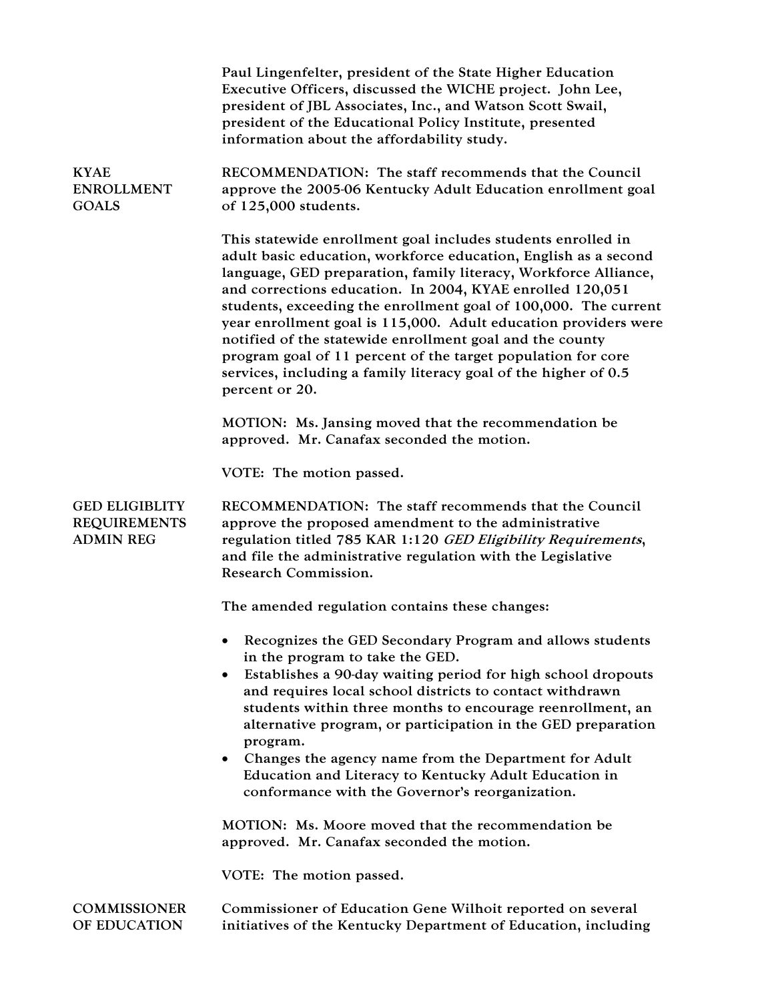|                                                                  | Paul Lingenfelter, president of the State Higher Education<br>Executive Officers, discussed the WICHE project. John Lee,<br>president of JBL Associates, Inc., and Watson Scott Swail,<br>president of the Educational Policy Institute, presented<br>information about the affordability study.                                                                                                                                                                                                                                                                                                                       |
|------------------------------------------------------------------|------------------------------------------------------------------------------------------------------------------------------------------------------------------------------------------------------------------------------------------------------------------------------------------------------------------------------------------------------------------------------------------------------------------------------------------------------------------------------------------------------------------------------------------------------------------------------------------------------------------------|
| <b>KYAE</b><br><b>ENROLLMENT</b><br><b>GOALS</b>                 | RECOMMENDATION: The staff recommends that the Council<br>approve the 2005-06 Kentucky Adult Education enrollment goal<br>of 125,000 students.                                                                                                                                                                                                                                                                                                                                                                                                                                                                          |
|                                                                  | This statewide enrollment goal includes students enrolled in<br>adult basic education, workforce education, English as a second<br>language, GED preparation, family literacy, Workforce Alliance,<br>and corrections education. In 2004, KYAE enrolled 120,051<br>students, exceeding the enrollment goal of 100,000. The current<br>year enrollment goal is 115,000. Adult education providers were<br>notified of the statewide enrollment goal and the county<br>program goal of 11 percent of the target population for core<br>services, including a family literacy goal of the higher of 0.5<br>percent or 20. |
|                                                                  | MOTION: Ms. Jansing moved that the recommendation be<br>approved. Mr. Canafax seconded the motion.                                                                                                                                                                                                                                                                                                                                                                                                                                                                                                                     |
|                                                                  | VOTE: The motion passed.                                                                                                                                                                                                                                                                                                                                                                                                                                                                                                                                                                                               |
| <b>GED ELIGIBLITY</b><br><b>REQUIREMENTS</b><br><b>ADMIN REG</b> | RECOMMENDATION: The staff recommends that the Council<br>approve the proposed amendment to the administrative<br>regulation titled 785 KAR 1:120 GED Eligibility Requirements,<br>and file the administrative regulation with the Legislative<br>Research Commission.                                                                                                                                                                                                                                                                                                                                                  |
|                                                                  | The amended regulation contains these changes:                                                                                                                                                                                                                                                                                                                                                                                                                                                                                                                                                                         |
|                                                                  | Recognizes the GED Secondary Program and allows students<br>in the program to take the GED.                                                                                                                                                                                                                                                                                                                                                                                                                                                                                                                            |
|                                                                  | Establishes a 90-day waiting period for high school dropouts<br>٠<br>and requires local school districts to contact withdrawn<br>students within three months to encourage reenrollment, an<br>alternative program, or participation in the GED preparation<br>program.<br>Changes the agency name from the Department for Adult<br>Education and Literacy to Kentucky Adult Education in<br>conformance with the Governor's reorganization.                                                                                                                                                                           |
|                                                                  | MOTION: Ms. Moore moved that the recommendation be<br>approved. Mr. Canafax seconded the motion.                                                                                                                                                                                                                                                                                                                                                                                                                                                                                                                       |
|                                                                  | VOTE: The motion passed.                                                                                                                                                                                                                                                                                                                                                                                                                                                                                                                                                                                               |
| <b>COMMISSIONER</b>                                              | Commissioner of Education Gene Wilhoit reported on several                                                                                                                                                                                                                                                                                                                                                                                                                                                                                                                                                             |
| OF EDUCATION                                                     | initiatives of the Kentucky Department of Education, including                                                                                                                                                                                                                                                                                                                                                                                                                                                                                                                                                         |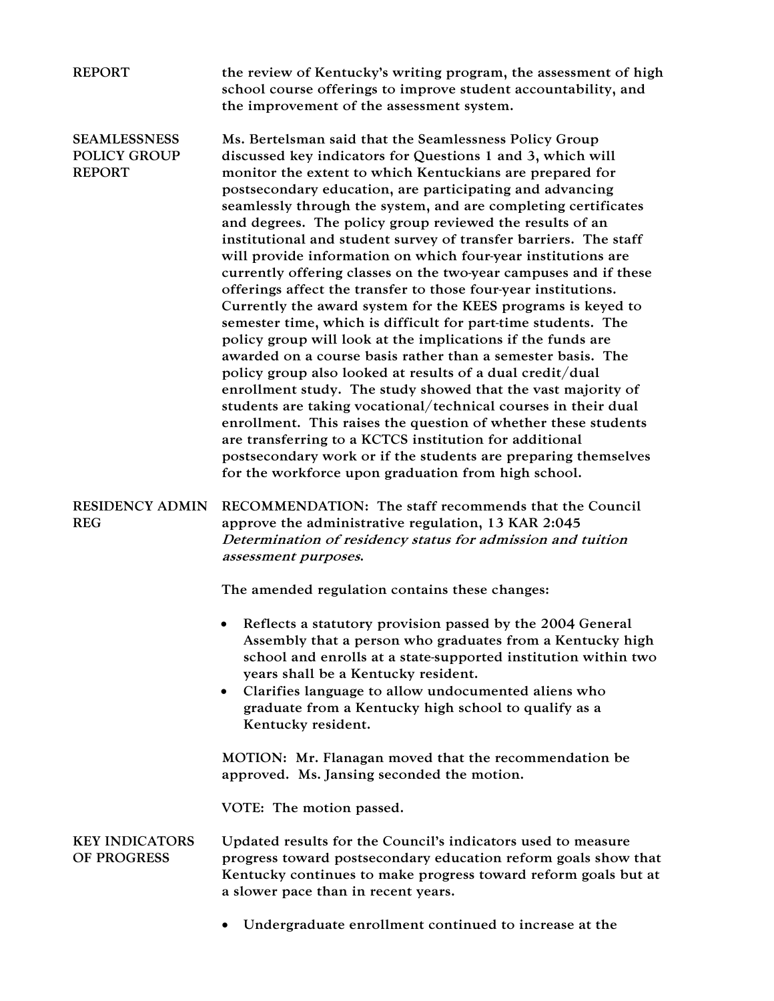| <b>REPORT</b>                                        | the review of Kentucky's writing program, the assessment of high<br>school course offerings to improve student accountability, and<br>the improvement of the assessment system.                                                                                                                                                                                                                                                                                                                                                                                                                                                                                                                                                                                                                                                                                                                                                                                                                                                                                                                                                                                                                                                                                                                                                                                         |
|------------------------------------------------------|-------------------------------------------------------------------------------------------------------------------------------------------------------------------------------------------------------------------------------------------------------------------------------------------------------------------------------------------------------------------------------------------------------------------------------------------------------------------------------------------------------------------------------------------------------------------------------------------------------------------------------------------------------------------------------------------------------------------------------------------------------------------------------------------------------------------------------------------------------------------------------------------------------------------------------------------------------------------------------------------------------------------------------------------------------------------------------------------------------------------------------------------------------------------------------------------------------------------------------------------------------------------------------------------------------------------------------------------------------------------------|
| <b>SEAMLESSNESS</b><br><b>POLICY GROUP</b><br>REPORT | Ms. Bertelsman said that the Seamlessness Policy Group<br>discussed key indicators for Questions 1 and 3, which will<br>monitor the extent to which Kentuckians are prepared for<br>postsecondary education, are participating and advancing<br>seamlessly through the system, and are completing certificates<br>and degrees. The policy group reviewed the results of an<br>institutional and student survey of transfer barriers. The staff<br>will provide information on which four-year institutions are<br>currently offering classes on the two-year campuses and if these<br>offerings affect the transfer to those four-year institutions.<br>Currently the award system for the KEES programs is keyed to<br>semester time, which is difficult for part-time students. The<br>policy group will look at the implications if the funds are<br>awarded on a course basis rather than a semester basis. The<br>policy group also looked at results of a dual credit/dual<br>enrollment study. The study showed that the vast majority of<br>students are taking vocational/technical courses in their dual<br>enrollment. This raises the question of whether these students<br>are transferring to a KCTCS institution for additional<br>postsecondary work or if the students are preparing themselves<br>for the workforce upon graduation from high school. |
| <b>RESIDENCY ADMIN</b><br><b>REG</b>                 | RECOMMENDATION: The staff recommends that the Council<br>approve the administrative regulation, 13 KAR 2:045<br>Determination of residency status for admission and tuition<br>assessment purposes.                                                                                                                                                                                                                                                                                                                                                                                                                                                                                                                                                                                                                                                                                                                                                                                                                                                                                                                                                                                                                                                                                                                                                                     |
|                                                      | The amended regulation contains these changes:                                                                                                                                                                                                                                                                                                                                                                                                                                                                                                                                                                                                                                                                                                                                                                                                                                                                                                                                                                                                                                                                                                                                                                                                                                                                                                                          |
|                                                      | Reflects a statutory provision passed by the 2004 General<br>Assembly that a person who graduates from a Kentucky high<br>school and enrolls at a state-supported institution within two<br>years shall be a Kentucky resident.<br>Clarifies language to allow undocumented aliens who<br>graduate from a Kentucky high school to qualify as a<br>Kentucky resident.                                                                                                                                                                                                                                                                                                                                                                                                                                                                                                                                                                                                                                                                                                                                                                                                                                                                                                                                                                                                    |
|                                                      | MOTION: Mr. Flanagan moved that the recommendation be<br>approved. Ms. Jansing seconded the motion.                                                                                                                                                                                                                                                                                                                                                                                                                                                                                                                                                                                                                                                                                                                                                                                                                                                                                                                                                                                                                                                                                                                                                                                                                                                                     |
|                                                      | VOTE: The motion passed.                                                                                                                                                                                                                                                                                                                                                                                                                                                                                                                                                                                                                                                                                                                                                                                                                                                                                                                                                                                                                                                                                                                                                                                                                                                                                                                                                |
| <b>KEY INDICATORS</b><br>OF PROGRESS                 | Updated results for the Council's indicators used to measure<br>progress toward postsecondary education reform goals show that<br>Kentucky continues to make progress toward reform goals but at<br>a slower pace than in recent years.                                                                                                                                                                                                                                                                                                                                                                                                                                                                                                                                                                                                                                                                                                                                                                                                                                                                                                                                                                                                                                                                                                                                 |
|                                                      | Undergraduate enrollment continued to increase at the                                                                                                                                                                                                                                                                                                                                                                                                                                                                                                                                                                                                                                                                                                                                                                                                                                                                                                                                                                                                                                                                                                                                                                                                                                                                                                                   |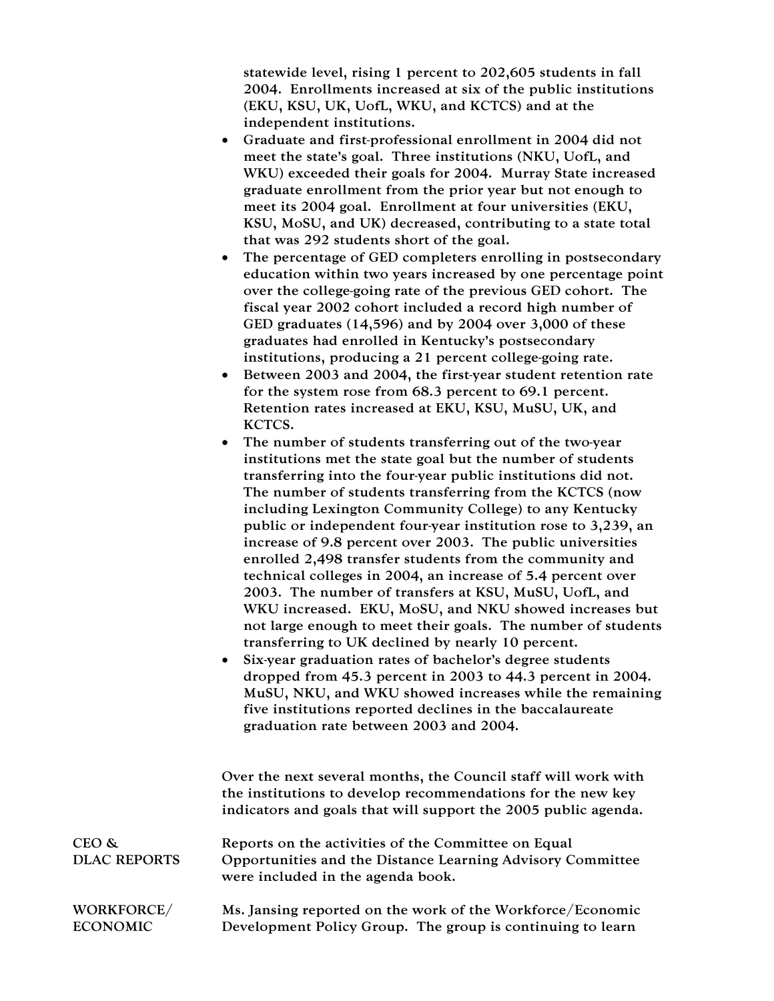statewide level, rising 1 percent to 202,605 students in fall 2004. Enrollments increased at six of the public institutions (EKU, KSU, UK, UofL, WKU, and KCTCS) and at the independent institutions.

- Graduate and first-professional enrollment in 2004 did not meet the state's goal. Three institutions (NKU, UofL, and WKU) exceeded their goals for 2004. Murray State increased graduate enrollment from the prior year but not enough to meet its 2004 goal. Enrollment at four universities (EKU, KSU, MoSU, and UK) decreased, contributing to a state total that was 292 students short of the goal.
- The percentage of GED completers enrolling in postsecondary education within two years increased by one percentage point over the college-going rate of the previous GED cohort. The fiscal year 2002 cohort included a record high number of GED graduates (14,596) and by 2004 over 3,000 of these graduates had enrolled in Kentucky's postsecondary institutions, producing a 21 percent college-going rate.
- Between 2003 and 2004, the first-year student retention rate for the system rose from 68.3 percent to 69.1 percent. Retention rates increased at EKU, KSU, MuSU, UK, and KCTCS.
- The number of students transferring out of the two-year institutions met the state goal but the number of students transferring into the four-year public institutions did not. The number of students transferring from the KCTCS (now including Lexington Community College) to any Kentucky public or independent four-year institution rose to 3,239, an increase of 9.8 percent over 2003. The public universities enrolled 2,498 transfer students from the community and technical colleges in 2004, an increase of 5.4 percent over 2003. The number of transfers at KSU, MuSU, UofL, and WKU increased. EKU, MoSU, and NKU showed increases but not large enough to meet their goals. The number of students transferring to UK declined by nearly 10 percent.
- Six-year graduation rates of bachelor's degree students dropped from 45.3 percent in 2003 to 44.3 percent in 2004. MuSU, NKU, and WKU showed increases while the remaining five institutions reported declines in the baccalaureate graduation rate between 2003 and 2004.

|                              | Over the next several months, the Council staff will work with<br>the institutions to develop recommendations for the new key<br>indicators and goals that will support the 2005 public agenda. |
|------------------------------|-------------------------------------------------------------------------------------------------------------------------------------------------------------------------------------------------|
| CEO &<br><b>DLAC REPORTS</b> | Reports on the activities of the Committee on Equal<br>Opportunities and the Distance Learning Advisory Committee                                                                               |
|                              | were included in the agenda book.                                                                                                                                                               |
| WORKFORCE/                   | Ms. Jansing reported on the work of the Workforce/Economic                                                                                                                                      |
| <b>ECONOMIC</b>              | Development Policy Group. The group is continuing to learn                                                                                                                                      |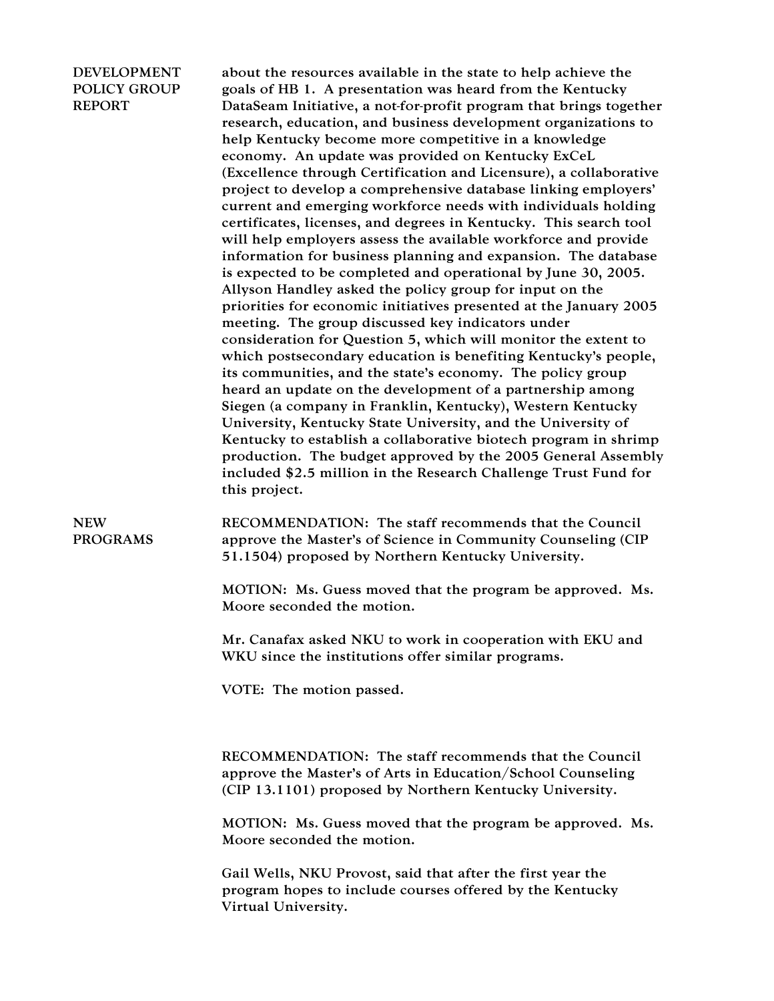## DEVELOPMENT POLICY GROUP REPORT

about the resources available in the state to help achieve the goals of HB 1. A presentation was heard from the Kentucky DataSeam Initiative, a not-for-profit program that brings together research, education, and business development organizations to help Kentucky become more competitive in a knowledge economy. An update was provided on Kentucky ExCeL (Excellence through Certification and Licensure), a collaborative project to develop a comprehensive database linking employers' current and emerging workforce needs with individuals holding certificates, licenses, and degrees in Kentucky. This search tool will help employers assess the available workforce and provide information for business planning and expansion. The database is expected to be completed and operational by June 30, 2005. Allyson Handley asked the policy group for input on the priorities for economic initiatives presented at the January 2005 meeting. The group discussed key indicators under consideration for Question 5, which will monitor the extent to which postsecondary education is benefiting Kentucky's people, its communities, and the state's economy. The policy group heard an update on the development of a partnership among Siegen (a company in Franklin, Kentucky), Western Kentucky University, Kentucky State University, and the University of Kentucky to establish a collaborative biotech program in shrimp production. The budget approved by the 2005 General Assembly included \$2.5 million in the Research Challenge Trust Fund for this project.

NEW PROGRAMS

RECOMMENDATION: The staff recommends that the Council approve the Master's of Science in Community Counseling (CIP 51.1504) proposed by Northern Kentucky University.

MOTION: Ms. Guess moved that the program be approved. Ms. Moore seconded the motion.

Mr. Canafax asked NKU to work in cooperation with EKU and WKU since the institutions offer similar programs.

VOTE: The motion passed.

RECOMMENDATION: The staff recommends that the Council approve the Master's of Arts in Education/School Counseling (CIP 13.1101) proposed by Northern Kentucky University.

MOTION: Ms. Guess moved that the program be approved. Ms. Moore seconded the motion.

Gail Wells, NKU Provost, said that after the first year the program hopes to include courses offered by the Kentucky Virtual University.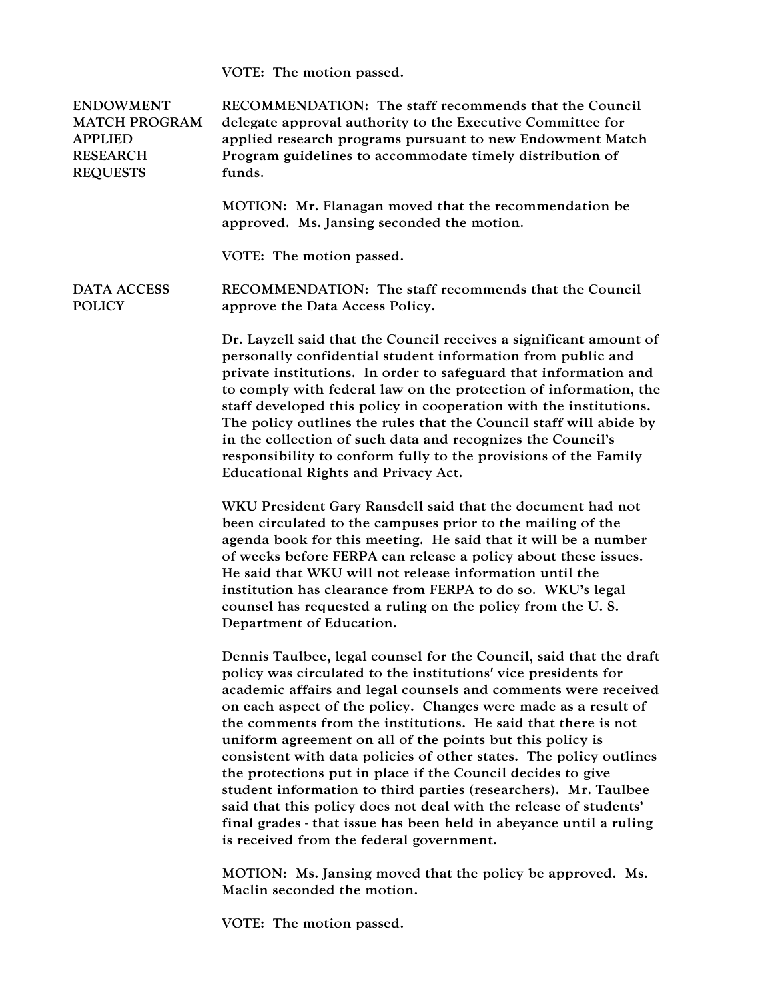VOTE: The motion passed.

| <b>ENDOWMENT</b><br><b>MATCH PROGRAM</b><br><b>APPLIED</b><br><b>RESEARCH</b><br><b>REQUESTS</b> | RECOMMENDATION: The staff recommends that the Council<br>delegate approval authority to the Executive Committee for<br>applied research programs pursuant to new Endowment Match<br>Program guidelines to accommodate timely distribution of<br>funds.                                                                                                                                                                                                                                                                                                                                                                                                                                                                                                                                                |
|--------------------------------------------------------------------------------------------------|-------------------------------------------------------------------------------------------------------------------------------------------------------------------------------------------------------------------------------------------------------------------------------------------------------------------------------------------------------------------------------------------------------------------------------------------------------------------------------------------------------------------------------------------------------------------------------------------------------------------------------------------------------------------------------------------------------------------------------------------------------------------------------------------------------|
|                                                                                                  | MOTION: Mr. Flanagan moved that the recommendation be<br>approved. Ms. Jansing seconded the motion.                                                                                                                                                                                                                                                                                                                                                                                                                                                                                                                                                                                                                                                                                                   |
|                                                                                                  | VOTE: The motion passed.                                                                                                                                                                                                                                                                                                                                                                                                                                                                                                                                                                                                                                                                                                                                                                              |
| DATA ACCESS<br><b>POLICY</b>                                                                     | RECOMMENDATION: The staff recommends that the Council<br>approve the Data Access Policy.                                                                                                                                                                                                                                                                                                                                                                                                                                                                                                                                                                                                                                                                                                              |
|                                                                                                  | Dr. Layzell said that the Council receives a significant amount of<br>personally confidential student information from public and<br>private institutions. In order to safeguard that information and<br>to comply with federal law on the protection of information, the<br>staff developed this policy in cooperation with the institutions.<br>The policy outlines the rules that the Council staff will abide by<br>in the collection of such data and recognizes the Council's<br>responsibility to conform fully to the provisions of the Family<br><b>Educational Rights and Privacy Act.</b>                                                                                                                                                                                                  |
|                                                                                                  | WKU President Gary Ransdell said that the document had not<br>been circulated to the campuses prior to the mailing of the<br>agenda book for this meeting. He said that it will be a number<br>of weeks before FERPA can release a policy about these issues.<br>He said that WKU will not release information until the<br>institution has clearance from FERPA to do so. WKU's legal<br>counsel has requested a ruling on the policy from the U.S.<br>Department of Education.                                                                                                                                                                                                                                                                                                                      |
|                                                                                                  | Dennis Taulbee, legal counsel for the Council, said that the draft<br>policy was circulated to the institutions' vice presidents for<br>academic affairs and legal counsels and comments were received<br>on each aspect of the policy. Changes were made as a result of<br>the comments from the institutions. He said that there is not<br>uniform agreement on all of the points but this policy is<br>consistent with data policies of other states. The policy outlines<br>the protections put in place if the Council decides to give<br>student information to third parties (researchers). Mr. Taulbee<br>said that this policy does not deal with the release of students'<br>final grades - that issue has been held in abeyance until a ruling<br>is received from the federal government. |
|                                                                                                  | MOTION: Ms. Jansing moved that the policy be approved. Ms.<br>Maclin seconded the motion.                                                                                                                                                                                                                                                                                                                                                                                                                                                                                                                                                                                                                                                                                                             |

VOTE: The motion passed.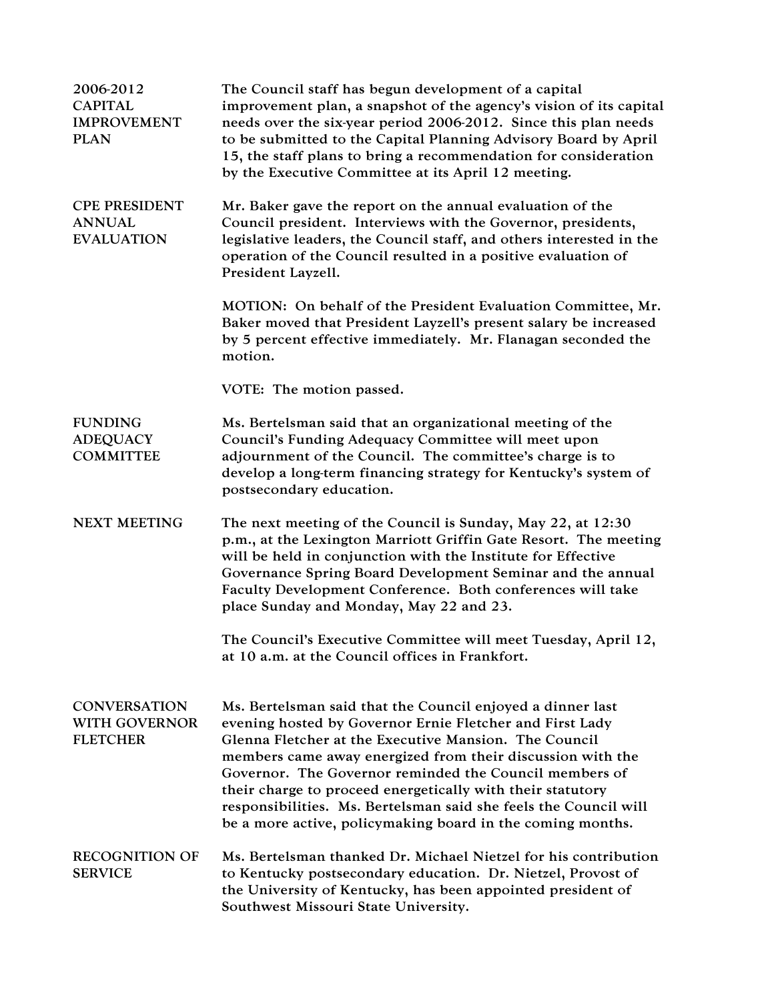| 2006-2012<br><b>CAPITAL</b><br><b>IMPROVEMENT</b><br><b>PLAN</b> | The Council staff has begun development of a capital<br>improvement plan, a snapshot of the agency's vision of its capital<br>needs over the six-year period 2006-2012. Since this plan needs<br>to be submitted to the Capital Planning Advisory Board by April<br>15, the staff plans to bring a recommendation for consideration<br>by the Executive Committee at its April 12 meeting.                                                                                                              |
|------------------------------------------------------------------|---------------------------------------------------------------------------------------------------------------------------------------------------------------------------------------------------------------------------------------------------------------------------------------------------------------------------------------------------------------------------------------------------------------------------------------------------------------------------------------------------------|
| <b>CPE PRESIDENT</b><br><b>ANNUAL</b><br><b>EVALUATION</b>       | Mr. Baker gave the report on the annual evaluation of the<br>Council president. Interviews with the Governor, presidents,<br>legislative leaders, the Council staff, and others interested in the<br>operation of the Council resulted in a positive evaluation of<br>President Layzell.                                                                                                                                                                                                                |
|                                                                  | MOTION: On behalf of the President Evaluation Committee, Mr.<br>Baker moved that President Layzell's present salary be increased<br>by 5 percent effective immediately. Mr. Flanagan seconded the<br>motion.                                                                                                                                                                                                                                                                                            |
|                                                                  | VOTE: The motion passed.                                                                                                                                                                                                                                                                                                                                                                                                                                                                                |
| <b>FUNDING</b><br><b>ADEQUACY</b><br><b>COMMITTEE</b>            | Ms. Bertelsman said that an organizational meeting of the<br>Council's Funding Adequacy Committee will meet upon<br>adjournment of the Council. The committee's charge is to<br>develop a long-term financing strategy for Kentucky's system of<br>postsecondary education.                                                                                                                                                                                                                             |
| <b>NEXT MEETING</b>                                              | The next meeting of the Council is Sunday, May 22, at 12:30<br>p.m., at the Lexington Marriott Griffin Gate Resort. The meeting<br>will be held in conjunction with the Institute for Effective<br>Governance Spring Board Development Seminar and the annual<br>Faculty Development Conference. Both conferences will take<br>place Sunday and Monday, May 22 and 23.                                                                                                                                  |
|                                                                  | The Council's Executive Committee will meet Tuesday, April 12,<br>at 10 a.m. at the Council offices in Frankfort.                                                                                                                                                                                                                                                                                                                                                                                       |
| <b>CONVERSATION</b><br><b>WITH GOVERNOR</b><br><b>FLETCHER</b>   | Ms. Bertelsman said that the Council enjoyed a dinner last<br>evening hosted by Governor Ernie Fletcher and First Lady<br>Glenna Fletcher at the Executive Mansion. The Council<br>members came away energized from their discussion with the<br>Governor. The Governor reminded the Council members of<br>their charge to proceed energetically with their statutory<br>responsibilities. Ms. Bertelsman said she feels the Council will<br>be a more active, policymaking board in the coming months. |
| <b>RECOGNITION OF</b><br><b>SERVICE</b>                          | Ms. Bertelsman thanked Dr. Michael Nietzel for his contribution<br>to Kentucky postsecondary education. Dr. Nietzel, Provost of<br>the University of Kentucky, has been appointed president of<br>Southwest Missouri State University.                                                                                                                                                                                                                                                                  |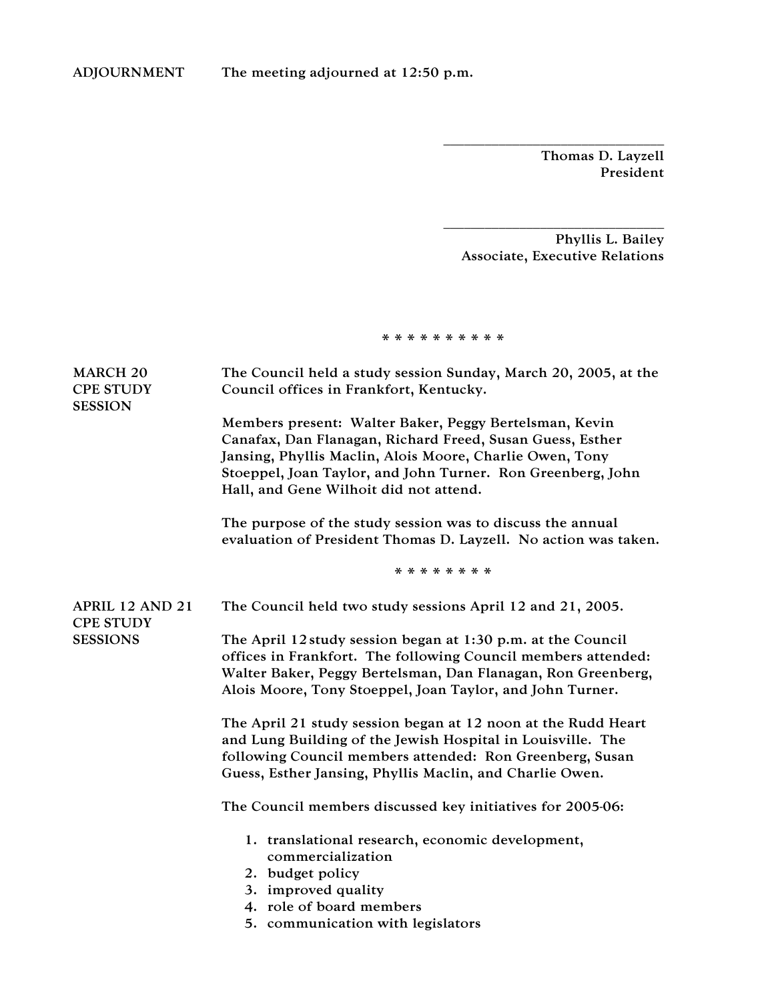Thomas D. Layzell President

Phyllis L. Bailey Associate, Executive Relations

\_\_\_\_\_\_\_\_\_\_\_\_\_\_\_\_\_\_\_\_\_\_\_\_\_\_\_\_\_\_\_\_

\_\_\_\_\_\_\_\_\_\_\_\_\_\_\_\_\_\_\_\_\_\_\_\_\_\_\_\_\_\_\_\_

\* \* \* \* \* \* \* \* \* \*

| The Council held a study session Sunday, March 20, 2005, at the<br>Council offices in Frankfort, Kentucky.<br>Members present: Walter Baker, Peggy Bertelsman, Kevin<br>Canafax, Dan Flanagan, Richard Freed, Susan Guess, Esther<br>Jansing, Phyllis Maclin, Alois Moore, Charlie Owen, Tony<br>Stoeppel, Joan Taylor, and John Turner. Ron Greenberg, John<br>Hall, and Gene Wilhoit did not attend.<br>The purpose of the study session was to discuss the annual<br>evaluation of President Thomas D. Layzell. No action was taken.<br>* * * * * * * * |
|------------------------------------------------------------------------------------------------------------------------------------------------------------------------------------------------------------------------------------------------------------------------------------------------------------------------------------------------------------------------------------------------------------------------------------------------------------------------------------------------------------------------------------------------------------|
|                                                                                                                                                                                                                                                                                                                                                                                                                                                                                                                                                            |
| The Council held two study sessions April 12 and 21, 2005.                                                                                                                                                                                                                                                                                                                                                                                                                                                                                                 |
| The April 12 study session began at 1:30 p.m. at the Council<br>offices in Frankfort. The following Council members attended:<br>Walter Baker, Peggy Bertelsman, Dan Flanagan, Ron Greenberg,<br>Alois Moore, Tony Stoeppel, Joan Taylor, and John Turner.                                                                                                                                                                                                                                                                                                 |
| The April 21 study session began at 12 noon at the Rudd Heart<br>and Lung Building of the Jewish Hospital in Louisville. The<br>following Council members attended: Ron Greenberg, Susan<br>Guess, Esther Jansing, Phyllis Maclin, and Charlie Owen.                                                                                                                                                                                                                                                                                                       |
| The Council members discussed key initiatives for 2005-06:                                                                                                                                                                                                                                                                                                                                                                                                                                                                                                 |
| 1. translational research, economic development,<br>commercialization<br>2. budget policy<br>3. improved quality<br>4. role of board members<br>5. communication with legislators                                                                                                                                                                                                                                                                                                                                                                          |
|                                                                                                                                                                                                                                                                                                                                                                                                                                                                                                                                                            |